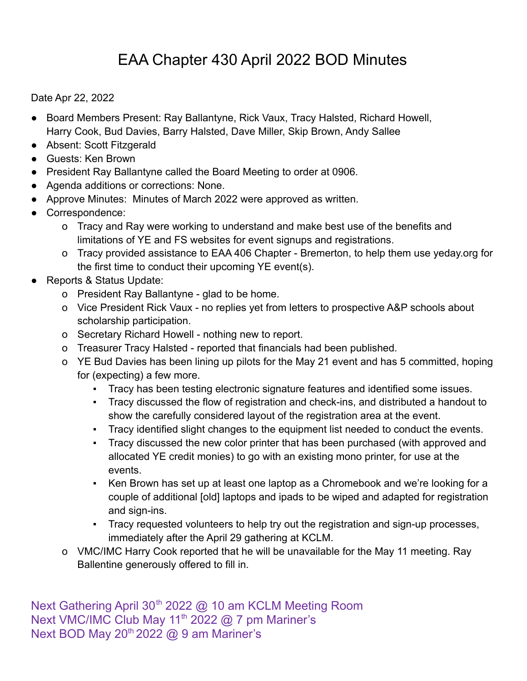## EAA Chapter 430 April 2022 BOD Minutes

Date Apr 22, 2022

- Board Members Present: Ray Ballantyne, Rick Vaux, Tracy Halsted, Richard Howell, Harry Cook, Bud Davies, Barry Halsted, Dave Miller, Skip Brown, Andy Sallee
- Absent: Scott Fitzgerald
- Guests: Ken Brown
- President Ray Ballantyne called the Board Meeting to order at 0906.
- Agenda additions or corrections: None.
- Approve Minutes: Minutes of March 2022 were approved as written.
- Correspondence:
	- o Tracy and Ray were working to understand and make best use of the benefits and limitations of YE and FS websites for event signups and registrations.
	- o Tracy provided assistance to EAA 406 Chapter Bremerton, to help them use yeday.org for the first time to conduct their upcoming YE event(s).
- Reports & Status Update:
	- o President Ray Ballantyne glad to be home.
	- o Vice President Rick Vaux no replies yet from letters to prospective A&P schools about scholarship participation.
	- o Secretary Richard Howell nothing new to report.
	- o Treasurer Tracy Halsted reported that financials had been published.
	- o YE Bud Davies has been lining up pilots for the May 21 event and has 5 committed, hoping for (expecting) a few more.
		- Tracy has been testing electronic signature features and identified some issues.
		- Tracy discussed the flow of registration and check-ins, and distributed a handout to show the carefully considered layout of the registration area at the event.
		- Tracy identified slight changes to the equipment list needed to conduct the events.
		- Tracy discussed the new color printer that has been purchased (with approved and allocated YE credit monies) to go with an existing mono printer, for use at the events.
		- Ken Brown has set up at least one laptop as a Chromebook and we're looking for a couple of additional [old] laptops and ipads to be wiped and adapted for registration and sign-ins.
		- Tracy requested volunteers to help try out the registration and sign-up processes, immediately after the April 29 gathering at KCLM.
	- o VMC/IMC Harry Cook reported that he will be unavailable for the May 11 meeting. Ray Ballentine generously offered to fill in.

Next Gathering April 30<sup>th</sup> 2022 @ 10 am KCLM Meeting Room Next VMC/IMC Club May 11<sup>th</sup> 2022  $@$  7 pm Mariner's Next BOD May 20<sup>th</sup> 2022 @ 9 am Mariner's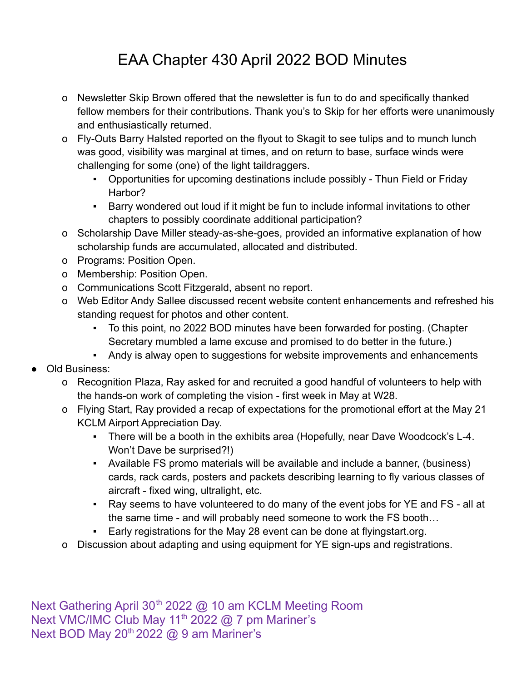## EAA Chapter 430 April 2022 BOD Minutes

- o Newsletter Skip Brown offered that the newsletter is fun to do and specifically thanked fellow members for their contributions. Thank you's to Skip for her efforts were unanimously and enthusiastically returned.
- o Fly-Outs Barry Halsted reported on the flyout to Skagit to see tulips and to munch lunch was good, visibility was marginal at times, and on return to base, surface winds were challenging for some (one) of the light taildraggers.
	- Opportunities for upcoming destinations include possibly Thun Field or Friday Harbor?
	- Barry wondered out loud if it might be fun to include informal invitations to other chapters to possibly coordinate additional participation?
- o Scholarship Dave Miller steady-as-she-goes, provided an informative explanation of how scholarship funds are accumulated, allocated and distributed.
- o Programs: Position Open.
- o Membership: Position Open.
- o Communications Scott Fitzgerald, absent no report.
- o Web Editor Andy Sallee discussed recent website content enhancements and refreshed his standing request for photos and other content.
	- To this point, no 2022 BOD minutes have been forwarded for posting. (Chapter Secretary mumbled a lame excuse and promised to do better in the future.)
	- Andy is alway open to suggestions for website improvements and enhancements
- Old Business:
	- o Recognition Plaza, Ray asked for and recruited a good handful of volunteers to help with the hands-on work of completing the vision - first week in May at W28.
	- o Flying Start, Ray provided a recap of expectations for the promotional effort at the May 21 KCLM Airport Appreciation Day.
		- There will be a booth in the exhibits area (Hopefully, near Dave Woodcock's L-4. Won't Dave be surprised?!)
		- Available FS promo materials will be available and include a banner, (business) cards, rack cards, posters and packets describing learning to fly various classes of aircraft - fixed wing, ultralight, etc.
		- Ray seems to have volunteered to do many of the event jobs for YE and FS all at the same time - and will probably need someone to work the FS booth…
		- Early registrations for the May 28 event can be done at flyingstart.org.
	- o Discussion about adapting and using equipment for YE sign-ups and registrations.

Next Gathering April 30<sup>th</sup> 2022 @ 10 am KCLM Meeting Room Next VMC/IMC Club May 11<sup>th</sup> 2022  $@$  7 pm Mariner's Next BOD May 20<sup>th</sup> 2022 @ 9 am Mariner's